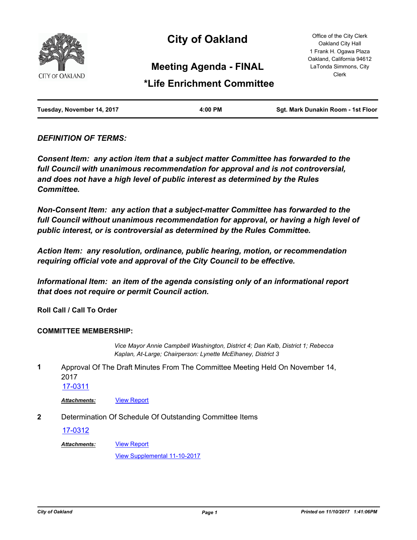

# **City of Oakland**

Office of the City Clerk Oakland City Hall 1 Frank H. Ogawa Plaza Oakland, California 94612 LaTonda Simmons, City Clerk

### **Meeting Agenda - FINAL**

## **\*Life Enrichment Committee**

| Tuesday, November 14, 2017 | 4:00 PM | Sgt. Mark Dunakin Room - 1st Floor |
|----------------------------|---------|------------------------------------|
|                            |         |                                    |

### *DEFINITION OF TERMS:*

*Consent Item: any action item that a subject matter Committee has forwarded to the full Council with unanimous recommendation for approval and is not controversial, and does not have a high level of public interest as determined by the Rules Committee.*

*Non-Consent Item: any action that a subject-matter Committee has forwarded to the*  full Council without unanimous recommendation for approval, or having a high level of *public interest, or is controversial as determined by the Rules Committee.*

*Action Item: any resolution, ordinance, public hearing, motion, or recommendation requiring official vote and approval of the City Council to be effective.*

*Informational Item: an item of the agenda consisting only of an informational report that does not require or permit Council action.*

**Roll Call / Call To Order**

#### **COMMITTEE MEMBERSHIP:**

*Vice Mayor Annie Campbell Washington, District 4; Dan Kalb, District 1; Rebecca Kaplan, At-Large; Chairperson: Lynette McElhaney, District 3*

Approval Of The Draft Minutes From The Committee Meeting Held On November 14, 2017 **1**

[17-0311](http://oakland.legistar.com/gateway.aspx?m=l&id=/matter.aspx?key=28258)

*Attachments:* [View Report](http://oakland.legistar.com/gateway.aspx?M=F&ID=f2dd74fb-02da-4794-be26-6beac2f01414.pdf)

**2** Determination Of Schedule Of Outstanding Committee Items

[17-0312](http://oakland.legistar.com/gateway.aspx?m=l&id=/matter.aspx?key=28259)

[View Report](http://oakland.legistar.com/gateway.aspx?M=F&ID=84b8015b-ee68-4c1d-9040-5097d57f2256.pdf) *Attachments:*

[View Supplemental 11-10-2017](http://oakland.legistar.com/gateway.aspx?M=F&ID=754779e6-46c8-4caa-ae68-388ead1a71d1.pdf)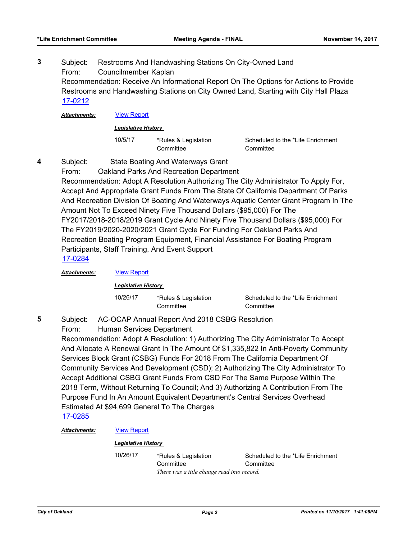Subject: Restrooms And Handwashing Stations On City-Owned Land From: Councilmember Kaplan Recommendation: Receive An Informational Report On The Options for Actions to Provide Restrooms and Handwashing Stations on City Owned Land, Starting with City Hall Plaza **3** [17-0212](http://oakland.legistar.com/gateway.aspx?m=l&id=/matter.aspx?key=28160)

*Attachments:* [View Report](http://oakland.legistar.com/gateway.aspx?M=F&ID=a64e2350-cb47-462d-a690-ee0b5f38004e.pdf)

*Legislative History* 

10/5/17 \*Rules & Legislation **Committee** 

Scheduled to the \*Life Enrichment **Committee** 

- Subject: State Boating And Waterways Grant **4**
	- From: Oakland Parks And Recreation Department Recommendation: Adopt A Resolution Authorizing The City Administrator To Apply For, Accept And Appropriate Grant Funds From The State Of California Department Of Parks And Recreation Division Of Boating And Waterways Aquatic Center Grant Program In The Amount Not To Exceed Ninety Five Thousand Dollars (\$95,000) For The FY2017/2018-2018/2019 Grant Cycle And Ninety Five Thousand Dollars (\$95,000) For The FY2019/2020-2020/2021 Grant Cycle For Funding For Oakland Parks And Recreation Boating Program Equipment, Financial Assistance For Boating Program Participants, Staff Training, And Event Support [17-0284](http://oakland.legistar.com/gateway.aspx?m=l&id=/matter.aspx?key=28232)

*Attachments:* [View Report](http://oakland.legistar.com/gateway.aspx?M=F&ID=58bc00f7-d28f-463a-90e9-51caaf1eab94.pdf)

*Legislative History* 

10/26/17 \*Rules & Legislation **Committee** 

Scheduled to the \*Life Enrichment **Committee** 

Subject: AC-OCAP Annual Report And 2018 CSBG Resolution **5**

From: Human Services Department

Recommendation: Adopt A Resolution: 1) Authorizing The City Administrator To Accept And Allocate A Renewal Grant In The Amount Of \$1,335,822 In Anti-Poverty Community Services Block Grant (CSBG) Funds For 2018 From The California Department Of Community Services And Development (CSD); 2) Authorizing The City Administrator To Accept Additional CSBG Grant Funds From CSD For The Same Purpose Within The 2018 Term, Without Returning To Council; And 3) Authorizing A Contribution From The Purpose Fund In An Amount Equivalent Department's Central Services Overhead Estimated At \$94,699 General To The Charges [17-0285](http://oakland.legistar.com/gateway.aspx?m=l&id=/matter.aspx?key=28233)

#### *Attachments:* [View Report](http://oakland.legistar.com/gateway.aspx?M=F&ID=c6a5f344-a132-420a-bf5a-205c36e83377.pdf)

#### *Legislative History*

10/26/17 \*Rules & Legislation **Committee** Scheduled to the \*Life Enrichment **Committee** *There was a title change read into record.*